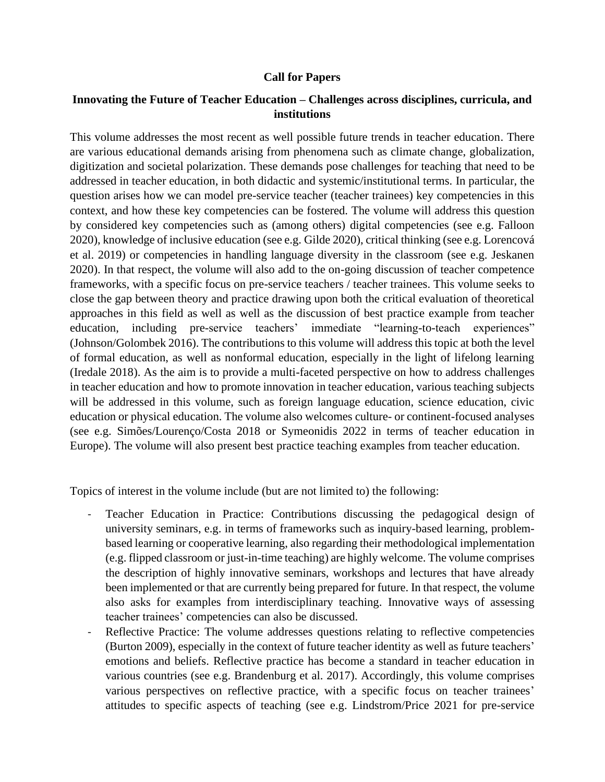## **Call for Papers**

## **Innovating the Future of Teacher Education – Challenges across disciplines, curricula, and institutions**

This volume addresses the most recent as well possible future trends in teacher education. There are various educational demands arising from phenomena such as climate change, globalization, digitization and societal polarization. These demands pose challenges for teaching that need to be addressed in teacher education, in both didactic and systemic/institutional terms. In particular, the question arises how we can model pre-service teacher (teacher trainees) key competencies in this context, and how these key competencies can be fostered. The volume will address this question by considered key competencies such as (among others) digital competencies (see e.g. Falloon 2020), knowledge of inclusive education (see e.g. Gilde 2020), critical thinking (see e.g. Lorencová et al. 2019) or competencies in handling language diversity in the classroom (see e.g. Jeskanen 2020). In that respect, the volume will also add to the on-going discussion of teacher competence frameworks, with a specific focus on pre-service teachers / teacher trainees. This volume seeks to close the gap between theory and practice drawing upon both the critical evaluation of theoretical approaches in this field as well as well as the discussion of best practice example from teacher education, including pre-service teachers' immediate "learning-to-teach experiences" (Johnson/Golombek 2016). The contributions to this volume will address this topic at both the level of formal education, as well as nonformal education, especially in the light of lifelong learning (Iredale 2018). As the aim is to provide a multi-faceted perspective on how to address challenges in teacher education and how to promote innovation in teacher education, various teaching subjects will be addressed in this volume, such as foreign language education, science education, civic education or physical education. The volume also welcomes culture- or continent-focused analyses (see e.g. Simões/Lourenço/Costa 2018 or Symeonidis 2022 in terms of teacher education in Europe). The volume will also present best practice teaching examples from teacher education.

Topics of interest in the volume include (but are not limited to) the following:

- Teacher Education in Practice: Contributions discussing the pedagogical design of university seminars, e.g. in terms of frameworks such as inquiry-based learning, problembased learning or cooperative learning, also regarding their methodological implementation (e.g. flipped classroom or just-in-time teaching) are highly welcome. The volume comprises the description of highly innovative seminars, workshops and lectures that have already been implemented or that are currently being prepared for future. In that respect, the volume also asks for examples from interdisciplinary teaching. Innovative ways of assessing teacher trainees' competencies can also be discussed.
- Reflective Practice: The volume addresses questions relating to reflective competencies (Burton 2009), especially in the context of future teacher identity as well as future teachers' emotions and beliefs. Reflective practice has become a standard in teacher education in various countries (see e.g. Brandenburg et al. 2017). Accordingly, this volume comprises various perspectives on reflective practice, with a specific focus on teacher trainees' attitudes to specific aspects of teaching (see e.g. Lindstrom/Price 2021 for pre-service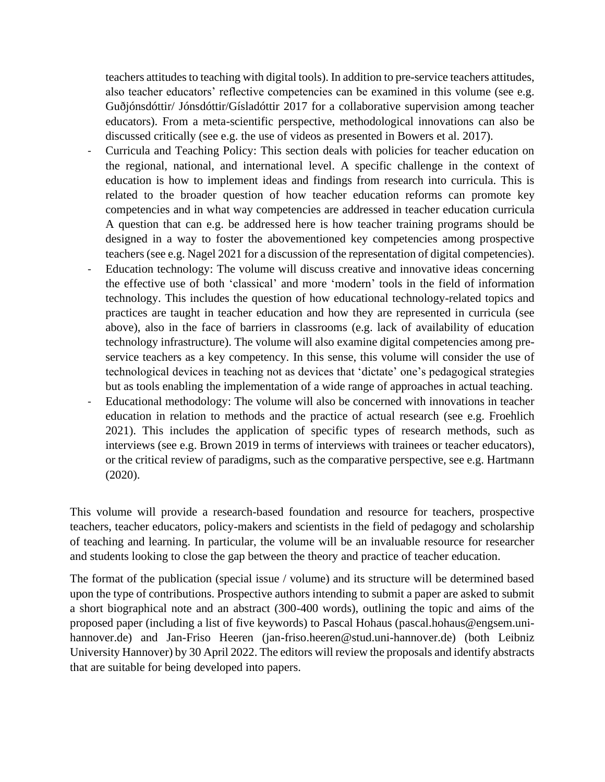teachers attitudes to teaching with digital tools). In addition to pre-service teachers attitudes, also teacher educators' reflective competencies can be examined in this volume (see e.g. Guðjónsdóttir/ Jónsdóttir/Gísladóttir 2017 for a collaborative supervision among teacher educators). From a meta-scientific perspective, methodological innovations can also be discussed critically (see e.g. the use of videos as presented in Bowers et al. 2017).

- Curricula and Teaching Policy: This section deals with policies for teacher education on the regional, national, and international level. A specific challenge in the context of education is how to implement ideas and findings from research into curricula. This is related to the broader question of how teacher education reforms can promote key competencies and in what way competencies are addressed in teacher education curricula A question that can e.g. be addressed here is how teacher training programs should be designed in a way to foster the abovementioned key competencies among prospective teachers (see e.g. Nagel 2021 for a discussion of the representation of digital competencies).
- Education technology: The volume will discuss creative and innovative ideas concerning the effective use of both 'classical' and more 'modern' tools in the field of information technology. This includes the question of how educational technology-related topics and practices are taught in teacher education and how they are represented in curricula (see above), also in the face of barriers in classrooms (e.g. lack of availability of education technology infrastructure). The volume will also examine digital competencies among preservice teachers as a key competency. In this sense, this volume will consider the use of technological devices in teaching not as devices that 'dictate' one's pedagogical strategies but as tools enabling the implementation of a wide range of approaches in actual teaching.
- Educational methodology: The volume will also be concerned with innovations in teacher education in relation to methods and the practice of actual research (see e.g. Froehlich 2021). This includes the application of specific types of research methods, such as interviews (see e.g. Brown 2019 in terms of interviews with trainees or teacher educators), or the critical review of paradigms, such as the comparative perspective, see e.g. Hartmann (2020).

This volume will provide a research-based foundation and resource for teachers, prospective teachers, teacher educators, policy-makers and scientists in the field of pedagogy and scholarship of teaching and learning. In particular, the volume will be an invaluable resource for researcher and students looking to close the gap between the theory and practice of teacher education.

The format of the publication (special issue / volume) and its structure will be determined based upon the type of contributions. Prospective authors intending to submit a paper are asked to submit a short biographical note and an abstract (300-400 words), outlining the topic and aims of the proposed paper (including a list of five keywords) to Pascal Hohaus [\(pascal.hohaus@engsem.uni](mailto:pascal.hohaus@engsem.uni-hannover.de)[hannover.de\)](mailto:pascal.hohaus@engsem.uni-hannover.de) and Jan-Friso Heeren (jan-friso.heeren@stud.uni-hannover.de) (both Leibniz University Hannover) by 30 April 2022. The editors will review the proposals and identify abstracts that are suitable for being developed into papers.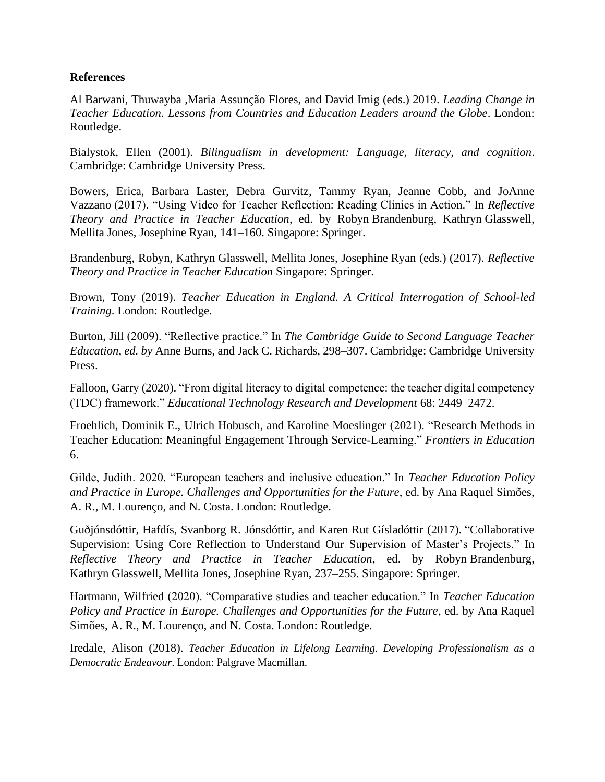## **References**

Al Barwani, Thuwayba ,Maria Assunção Flores, and David Imig (eds.) 2019. *Leading Change in Teacher Education. Lessons from Countries and Education Leaders around the Globe*. London: Routledge.

Bialystok, Ellen (2001). *Bilingualism in development: Language, literacy, and cognition*. Cambridge: Cambridge University Press.

Bowers, Erica, Barbara Laster, Debra Gurvitz, Tammy Ryan, Jeanne Cobb, and JoAnne Vazzano (2017). "Using Video for Teacher Reflection: Reading Clinics in Action." In *Reflective Theory and Practice in Teacher Education*, ed. by Robyn Brandenburg, Kathryn Glasswell, Mellita Jones, Josephine Ryan, 141–160. Singapore: Springer.

Brandenburg, Robyn, Kathryn Glasswell, Mellita Jones, Josephine Ryan (eds.) (2017). *Reflective Theory and Practice in Teacher Education* Singapore: Springer.

Brown, Tony (2019). *Teacher Education in England. A Critical Interrogation of School-led Training*. London: Routledge.

Burton, Jill (2009). "Reflective practice." In *The Cambridge Guide to Second Language Teacher Education, ed. by* Anne Burns, and Jack C. Richards, 298–307. Cambridge: Cambridge University Press.

Falloon, Garry (2020). "From digital literacy to digital competence: the teacher digital competency (TDC) framework." *Educational Technology Research and Development* 68: 2449–2472.

Froehlich, Dominik E., Ulrich Hobusch, and Karoline Moeslinger (2021). "Research Methods in Teacher Education: Meaningful Engagement Through Service-Learning." *Frontiers in Education* 6.

Gilde, Judith. 2020. "European teachers and inclusive education." In *Teacher Education Policy and Practice in Europe. Challenges and Opportunities for the Future*, ed. by Ana Raquel Simões, A. R., M. Lourenço, and N. Costa. London: Routledge.

Guðjónsdóttir, Hafdís, Svanborg R. Jónsdóttir, and Karen Rut Gísladóttir (2017). "Collaborative Supervision: Using Core Reflection to Understand Our Supervision of Master's Projects." In *Reflective Theory and Practice in Teacher Education*, ed. by Robyn Brandenburg, Kathryn Glasswell, Mellita Jones, Josephine Ryan, 237–255. Singapore: Springer.

Hartmann, Wilfried (2020). "Comparative studies and teacher education." In *Teacher Education Policy and Practice in Europe. Challenges and Opportunities for the Future*, ed. by Ana Raquel Simões, A. R., M. Lourenço, and N. Costa. London: Routledge.

Iredale, Alison (2018). *Teacher Education in Lifelong Learning. Developing Professionalism as a Democratic Endeavour*. London: Palgrave Macmillan.